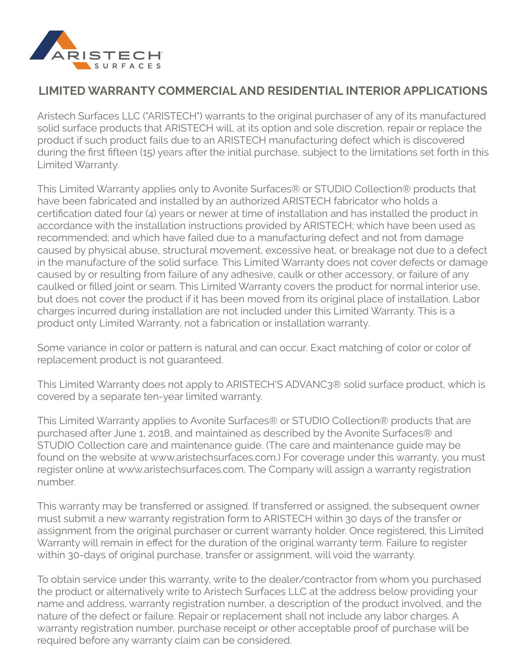

## **LIMITED WARRANTY COMMERCIAL AND RESIDENTIAL INTERIOR APPLICATIONS**

Aristech Surfaces LLC ("ARISTECH") warrants to the original purchaser of any of its manufactured solid surface products that ARISTECH will, at its option and sole discretion, repair or replace the product if such product fails due to an ARISTECH manufacturing defect which is discovered during the first fifteen (15) years after the initial purchase, subject to the limitations set forth in this Limited Warranty.

This Limited Warranty applies only to Avonite Surfaces® or STUDIO Collection® products that have been fabricated and installed by an authorized ARISTECH fabricator who holds a certification dated four (4) years or newer at time of installation and has installed the product in accordance with the installation instructions provided by ARISTECH; which have been used as recommended; and which have failed due to a manufacturing defect and not from damage caused by physical abuse, structural movement, excessive heat, or breakage not due to a defect in the manufacture of the solid surface. This Limited Warranty does not cover defects or damage caused by or resulting from failure of any adhesive, caulk or other accessory, or failure of any caulked or filled joint or seam. This Limited Warranty covers the product for normal interior use, but does not cover the product if it has been moved from its original place of installation. Labor charges incurred during installation are not included under this Limited Warranty. This is a product only Limited Warranty, not a fabrication or installation warranty.

Some variance in color or pattern is natural and can occur. Exact matching of color or color of replacement product is not guaranteed.

This Limited Warranty does not apply to ARISTECH'S ADVANC3® solid surface product, which is covered by a separate ten-year limited warranty.

This Limited Warranty applies to Avonite Surfaces® or STUDIO Collection® products that are purchased after June 1, 2018, and maintained as described by the Avonite Surfaces® and STUDIO Collection care and maintenance guide. (The care and maintenance guide may be found on the website at www.aristechsurfaces.com.) For coverage under this warranty, you must register online at www.aristechsurfaces.com. The Company will assign a warranty registration number.

This warranty may be transferred or assigned. If transferred or assigned, the subsequent owner must submit a new warranty registration form to ARISTECH within 30 days of the transfer or assignment from the original purchaser or current warranty holder. Once registered, this Limited Warranty will remain in effect for the duration of the original warranty term. Failure to register within 30-days of original purchase, transfer or assignment, will void the warranty.

To obtain service under this warranty, write to the dealer/contractor from whom you purchased the product or alternatively write to Aristech Surfaces LLC at the address below providing your name and address, warranty registration number, a description of the product involved, and the nature of the defect or failure. Repair or replacement shall not include any labor charges. A warranty registration number, purchase receipt or other acceptable proof of purchase will be required before any warranty claim can be considered.